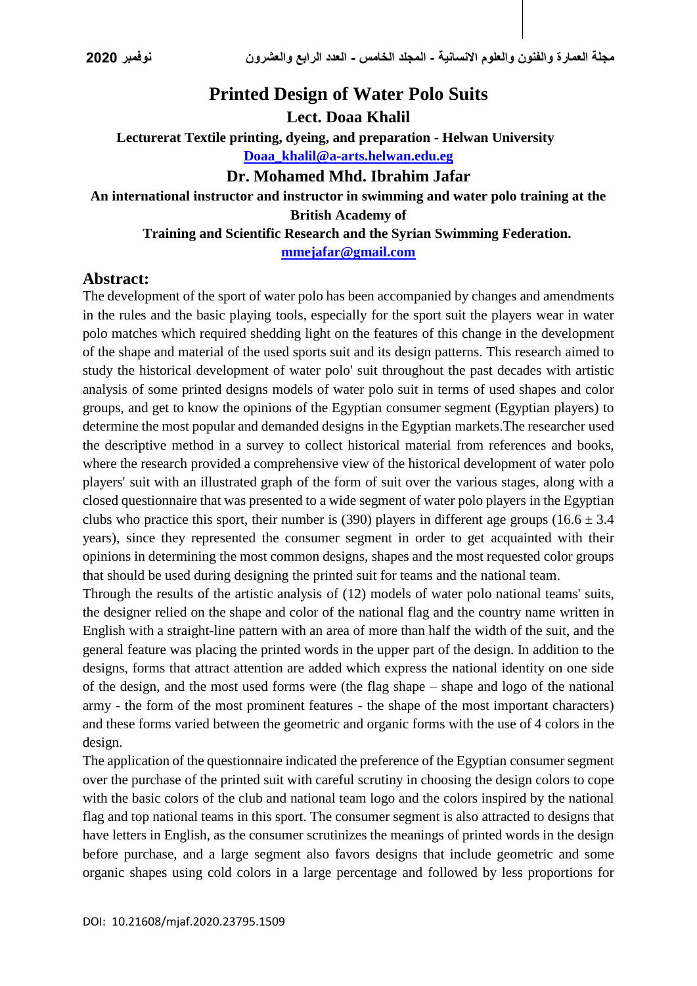# **Printed Design of Water Polo Suits**

**Lect. Doaa Khalil**

**Lecturerat Textile printing, dyeing, and preparation - Helwan University [Doaa\\_khalil@a-arts.helwan.edu.eg](mailto:Doaa_khalil@a-arts.helwan.edu.eg)**

#### **Dr. Mohamed Mhd. Ibrahim Jafar**

# **An international instructor and instructor in swimming and water polo training at the British Academy of**

 **Training and Scientific Research and the Syrian Swimming Federation. [mmejafar@gmail.com](mailto:mmejafar@gmail.com)**

#### **Abstract:**

The development of the sport of water polo has been accompanied by changes and amendments in the rules and the basic playing tools, especially for the sport suit the players wear in water polo matches which required shedding light on the features of this change in the development of the shape and material of the used sports suit and its design patterns. This research aimed to study the historical development of water polo' suit throughout the past decades with artistic analysis of some printed designs models of water polo suit in terms of used shapes and color groups, and get to know the opinions of the Egyptian consumer segment (Egyptian players) to determine the most popular and demanded designs in the Egyptian markets.The researcher used the descriptive method in a survey to collect historical material from references and books, where the research provided a comprehensive view of the historical development of water polo players' suit with an illustrated graph of the form of suit over the various stages, along with a closed questionnaire that was presented to a wide segment of water polo players in the Egyptian clubs who practice this sport, their number is (390) players in different age groups (16.6  $\pm$  3.4 years), since they represented the consumer segment in order to get acquainted with their opinions in determining the most common designs, shapes and the most requested color groups that should be used during designing the printed suit for teams and the national team.

Through the results of the artistic analysis of (12) models of water polo national teams' suits, the designer relied on the shape and color of the national flag and the country name written in English with a straight-line pattern with an area of more than half the width of the suit, and the general feature was placing the printed words in the upper part of the design. In addition to the designs, forms that attract attention are added which express the national identity on one side of the design, and the most used forms were (the flag shape – shape and logo of the national army - the form of the most prominent features - the shape of the most important characters) and these forms varied between the geometric and organic forms with the use of 4 colors in the design.

The application of the questionnaire indicated the preference of the Egyptian consumer segment over the purchase of the printed suit with careful scrutiny in choosing the design colors to cope with the basic colors of the club and national team logo and the colors inspired by the national flag and top national teams in this sport. The consumer segment is also attracted to designs that have letters in English, as the consumer scrutinizes the meanings of printed words in the design before purchase, and a large segment also favors designs that include geometric and some organic shapes using cold colors in a large percentage and followed by less proportions for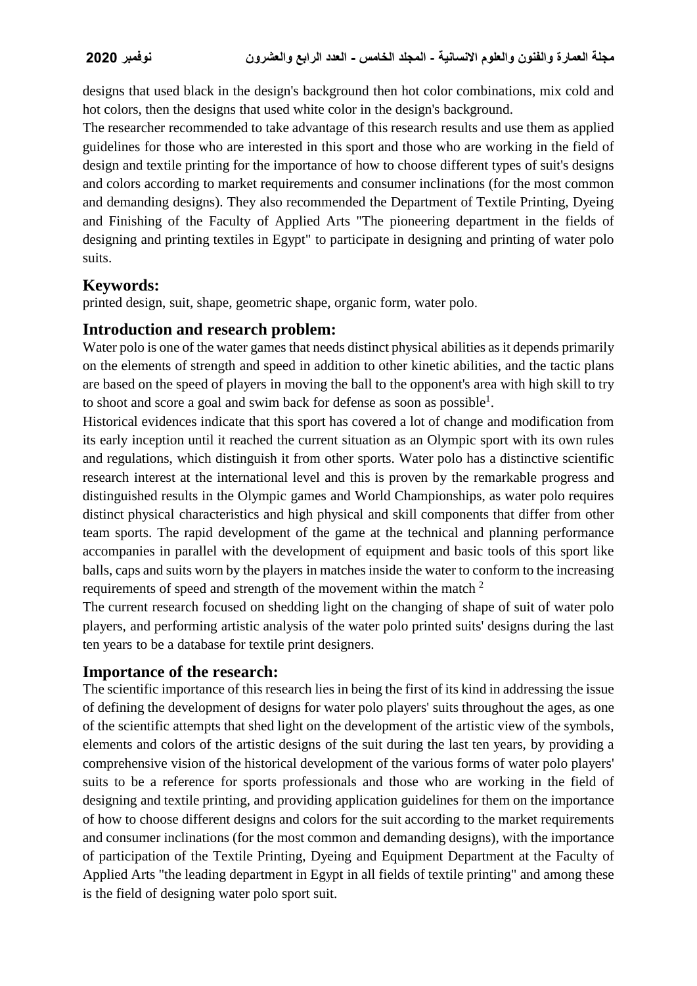designs that used black in the design's background then hot color combinations, mix cold and hot colors, then the designs that used white color in the design's background.

The researcher recommended to take advantage of this research results and use them as applied guidelines for those who are interested in this sport and those who are working in the field of design and textile printing for the importance of how to choose different types of suit's designs and colors according to market requirements and consumer inclinations (for the most common and demanding designs). They also recommended the Department of Textile Printing, Dyeing and Finishing of the Faculty of Applied Arts "The pioneering department in the fields of designing and printing textiles in Egypt" to participate in designing and printing of water polo suits.

# **Keywords:**

printed design, suit, shape, geometric shape, organic form, water polo.

### **Introduction and research problem:**

Water polo is one of the water games that needs distinct physical abilities as it depends primarily on the elements of strength and speed in addition to other kinetic abilities, and the tactic plans are based on the speed of players in moving the ball to the opponent's area with high skill to try to shoot and score a goal and swim back for defense as soon as possible<sup>1</sup>.

Historical evidences indicate that this sport has covered a lot of change and modification from its early inception until it reached the current situation as an Olympic sport with its own rules and regulations, which distinguish it from other sports. Water polo has a distinctive scientific research interest at the international level and this is proven by the remarkable progress and distinguished results in the Olympic games and World Championships, as water polo requires distinct physical characteristics and high physical and skill components that differ from other team sports. The rapid development of the game at the technical and planning performance accompanies in parallel with the development of equipment and basic tools of this sport like balls, caps and suits worn by the players in matches inside the water to conform to the increasing requirements of speed and strength of the movement within the match <sup>2</sup>

The current research focused on shedding light on the changing of shape of suit of water polo players, and performing artistic analysis of the water polo printed suits' designs during the last ten years to be a database for textile print designers.

# **Importance of the research:**

The scientific importance of this research lies in being the first of its kind in addressing the issue of defining the development of designs for water polo players' suits throughout the ages, as one of the scientific attempts that shed light on the development of the artistic view of the symbols, elements and colors of the artistic designs of the suit during the last ten years, by providing a comprehensive vision of the historical development of the various forms of water polo players' suits to be a reference for sports professionals and those who are working in the field of designing and textile printing, and providing application guidelines for them on the importance of how to choose different designs and colors for the suit according to the market requirements and consumer inclinations (for the most common and demanding designs), with the importance of participation of the Textile Printing, Dyeing and Equipment Department at the Faculty of Applied Arts "the leading department in Egypt in all fields of textile printing" and among these is the field of designing water polo sport suit.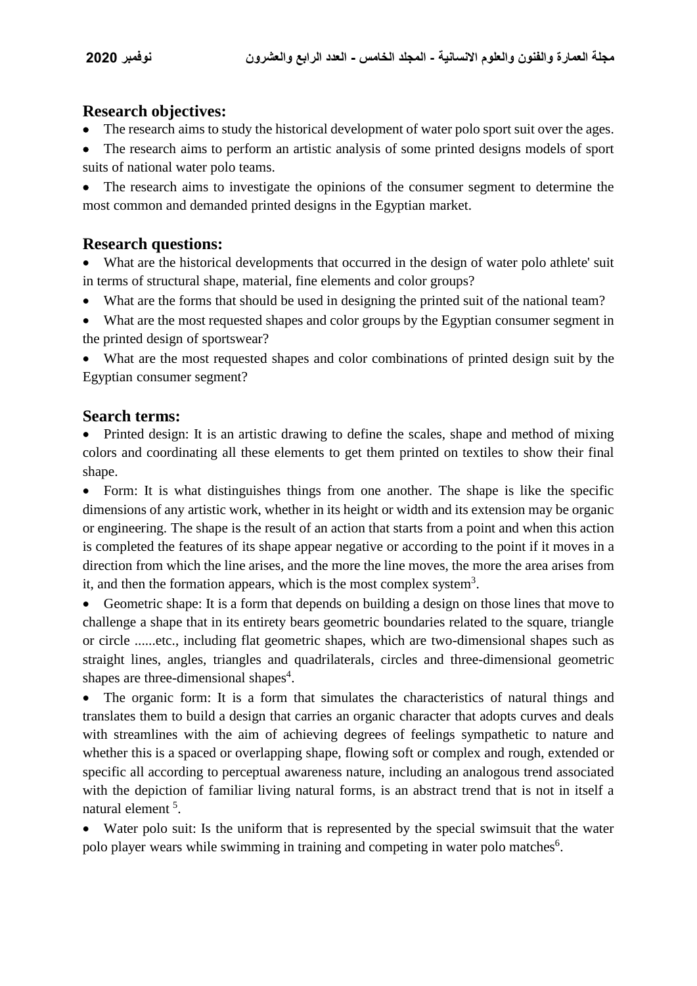### **Research objectives:**

- The research aims to study the historical development of water polo sport suit over the ages.
- The research aims to perform an artistic analysis of some printed designs models of sport suits of national water polo teams.

 The research aims to investigate the opinions of the consumer segment to determine the most common and demanded printed designs in the Egyptian market.

### **Research questions:**

- What are the historical developments that occurred in the design of water polo athlete' suit in terms of structural shape, material, fine elements and color groups?
- What are the forms that should be used in designing the printed suit of the national team?
- What are the most requested shapes and color groups by the Egyptian consumer segment in the printed design of sportswear?

 What are the most requested shapes and color combinations of printed design suit by the Egyptian consumer segment?

### **Search terms:**

 Printed design: It is an artistic drawing to define the scales, shape and method of mixing colors and coordinating all these elements to get them printed on textiles to show their final shape.

• Form: It is what distinguishes things from one another. The shape is like the specific dimensions of any artistic work, whether in its height or width and its extension may be organic or engineering. The shape is the result of an action that starts from a point and when this action is completed the features of its shape appear negative or according to the point if it moves in a direction from which the line arises, and the more the line moves, the more the area arises from it, and then the formation appears, which is the most complex system<sup>3</sup>.

 Geometric shape: It is a form that depends on building a design on those lines that move to challenge a shape that in its entirety bears geometric boundaries related to the square, triangle or circle ......etc., including flat geometric shapes, which are two-dimensional shapes such as straight lines, angles, triangles and quadrilaterals, circles and three-dimensional geometric shapes are three-dimensional shapes<sup>4</sup>.

• The organic form: It is a form that simulates the characteristics of natural things and translates them to build a design that carries an organic character that adopts curves and deals with streamlines with the aim of achieving degrees of feelings sympathetic to nature and whether this is a spaced or overlapping shape, flowing soft or complex and rough, extended or specific all according to perceptual awareness nature, including an analogous trend associated with the depiction of familiar living natural forms, is an abstract trend that is not in itself a natural element<sup>5</sup>.

 Water polo suit: Is the uniform that is represented by the special swimsuit that the water polo player wears while swimming in training and competing in water polo matches<sup>6</sup>.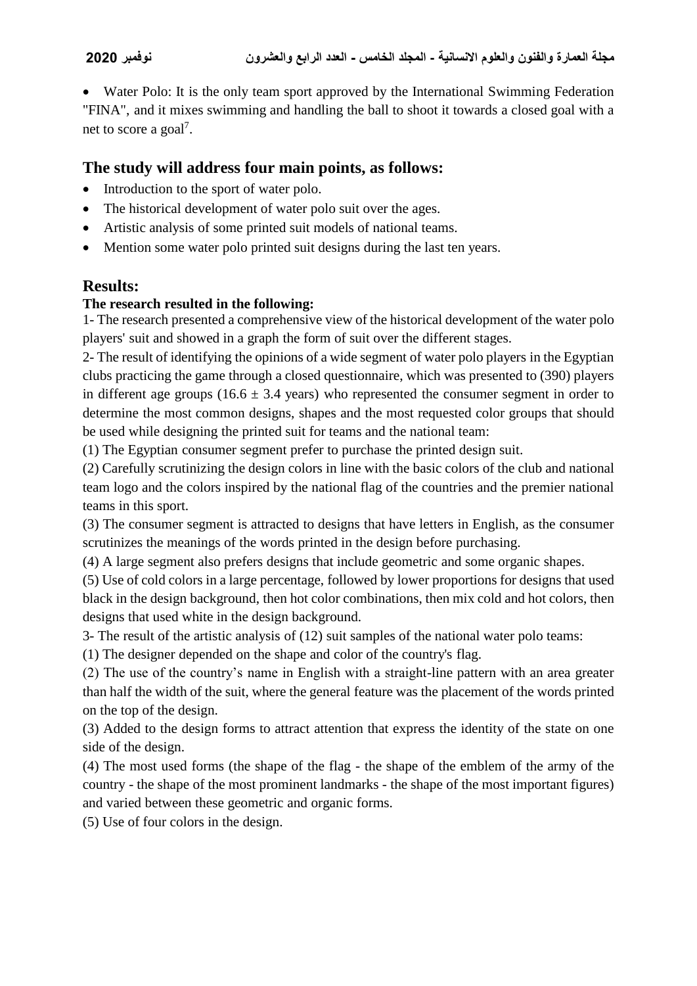Water Polo: It is the only team sport approved by the International Swimming Federation "FINA", and it mixes swimming and handling the ball to shoot it towards a closed goal with a net to score a goal<sup>7</sup>.

### **The study will address four main points, as follows:**

- Introduction to the sport of water polo.
- The historical development of water polo suit over the ages.
- Artistic analysis of some printed suit models of national teams.
- Mention some water polo printed suit designs during the last ten years.

# **Results:**

#### **The research resulted in the following:**

1- The research presented a comprehensive view of the historical development of the water polo players' suit and showed in a graph the form of suit over the different stages.

2- The result of identifying the opinions of a wide segment of water polo players in the Egyptian clubs practicing the game through a closed questionnaire, which was presented to (390) players in different age groups (16.6  $\pm$  3.4 years) who represented the consumer segment in order to determine the most common designs, shapes and the most requested color groups that should be used while designing the printed suit for teams and the national team:

(1) The Egyptian consumer segment prefer to purchase the printed design suit.

(2) Carefully scrutinizing the design colors in line with the basic colors of the club and national team logo and the colors inspired by the national flag of the countries and the premier national teams in this sport.

(3) The consumer segment is attracted to designs that have letters in English, as the consumer scrutinizes the meanings of the words printed in the design before purchasing.

(4) A large segment also prefers designs that include geometric and some organic shapes.

(5) Use of cold colors in a large percentage, followed by lower proportions for designs that used black in the design background, then hot color combinations, then mix cold and hot colors, then designs that used white in the design background.

3- The result of the artistic analysis of (12) suit samples of the national water polo teams:

(1) The designer depended on the shape and color of the country's flag.

(2) The use of the country's name in English with a straight-line pattern with an area greater than half the width of the suit, where the general feature was the placement of the words printed on the top of the design.

(3) Added to the design forms to attract attention that express the identity of the state on one side of the design.

(4) The most used forms (the shape of the flag - the shape of the emblem of the army of the country - the shape of the most prominent landmarks - the shape of the most important figures) and varied between these geometric and organic forms.

(5) Use of four colors in the design.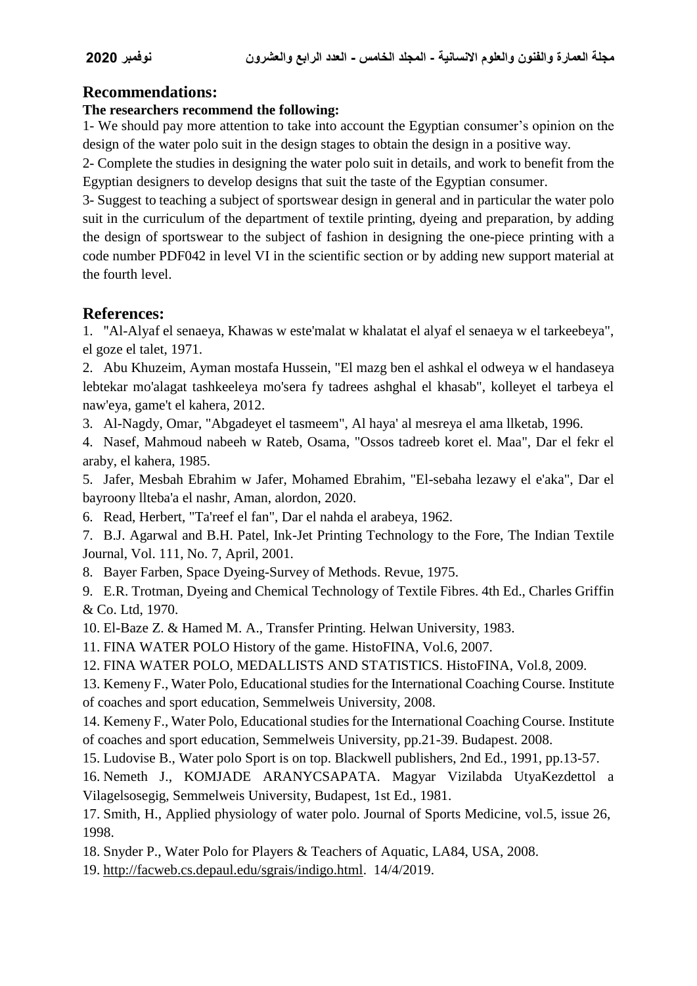# **Recommendations:**

#### **The researchers recommend the following:**

1- We should pay more attention to take into account the Egyptian consumer's opinion on the design of the water polo suit in the design stages to obtain the design in a positive way.

2- Complete the studies in designing the water polo suit in details, and work to benefit from the Egyptian designers to develop designs that suit the taste of the Egyptian consumer.

3- Suggest to teaching a subject of sportswear design in general and in particular the water polo suit in the curriculum of the department of textile printing, dyeing and preparation, by adding the design of sportswear to the subject of fashion in designing the one-piece printing with a code number PDF042 in level VI in the scientific section or by adding new support material at the fourth level.

# **References:**

1. "Al-Alyaf el senaeya, Khawas w este'malat w khalatat el alyaf el senaeya w el tarkeebeya", el goze el talet, 1971.

2. Abu Khuzeim, Ayman mostafa Hussein, "El mazg ben el ashkal el odweya w el handaseya lebtekar mo'alagat tashkeeleya mo'sera fy tadrees ashghal el khasab", kolleyet el tarbeya el naw'eya, game't el kahera, 2012.

3. Al-Nagdy, Omar, "Abgadeyet el tasmeem", Al haya' al mesreya el ama llketab, 1996.

4. Nasef, Mahmoud nabeeh w Rateb, Osama, "Ossos tadreeb koret el. Maa", Dar el fekr el araby, el kahera, 1985.

5. Jafer, Mesbah Ebrahim w Jafer, Mohamed Ebrahim, "El-sebaha lezawy el e'aka", Dar el bayroony llteba'a el nashr, Aman, alordon, 2020.

6. Read, Herbert, "Ta'reef el fan", Dar el nahda el arabeya, 1962.

7. B.J. Agarwal and B.H. Patel, Ink-Jet Printing Technology to the Fore, The Indian Textile Journal, Vol. 111, No. 7, April, 2001.

8. Bayer Farben, Space Dyeing-Survey of Methods. Revue, 1975.

9. E.R. Trotman, Dyeing and Chemical Technology of Textile Fibres. 4th Ed., Charles Griffin & Co. Ltd, 1970.

10. El-Baze Z. & Hamed M. A., Transfer Printing. Helwan University, 1983.

11. FINA WATER POLO History of the game. HistoFINA, Vol.6, 2007.

12. FINA WATER POLO, MEDALLISTS AND STATISTICS. HistoFINA, Vol.8, 2009.

13. Kemeny F., Water Polo, Educational studies for the International Coaching Course. Institute of coaches and sport education, Semmelweis University, 2008.

14. Kemeny F., Water Polo, Educational studies for the International Coaching Course. Institute of coaches and sport education, Semmelweis University, pp.21-39. Budapest. 2008.

15. Ludovise B., Water polo Sport is on top. Blackwell publishers, 2nd Ed., 1991, pp.13-57.

16. Nemeth J., KOMJADE ARANYCSAPATA. Magyar Vizilabda UtyaKezdettol a Vilagelsosegig, Semmelweis University, Budapest, 1st Ed., 1981.

17. Smith, H., Applied physiology of water polo. Journal of Sports Medicine, vol.5, issue 26, 1998.

18. Snyder P., Water Polo for Players & Teachers of Aquatic, LA84, USA, 2008.

19. [http://facweb.cs.depaul.edu/sgrais/indigo.html.](http://facweb.cs.depaul.edu/sgrais/indigo.html) 14/4/2019.